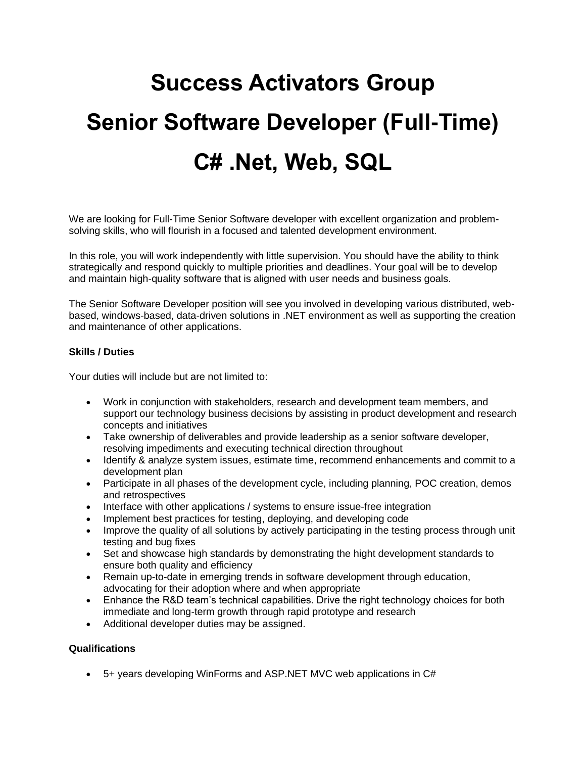# **Success Activators Group Senior Software Developer (Full-Time) C# .Net, Web, SQL**

We are looking for Full-Time Senior Software developer with excellent organization and problemsolving skills, who will flourish in a focused and talented development environment.

In this role, you will work independently with little supervision. You should have the ability to think strategically and respond quickly to multiple priorities and deadlines. Your goal will be to develop and maintain high-quality software that is aligned with user needs and business goals.

The Senior Software Developer position will see you involved in developing various distributed, webbased, windows-based, data-driven solutions in .NET environment as well as supporting the creation and maintenance of other applications.

## **Skills / Duties**

Your duties will include but are not limited to:

- Work in conjunction with stakeholders, research and development team members, and support our technology business decisions by assisting in product development and research concepts and initiatives
- Take ownership of deliverables and provide leadership as a senior software developer, resolving impediments and executing technical direction throughout
- Identify & analyze system issues, estimate time, recommend enhancements and commit to a development plan
- Participate in all phases of the development cycle, including planning, POC creation, demos and retrospectives
- Interface with other applications / systems to ensure issue-free integration
- Implement best practices for testing, deploying, and developing code
- Improve the quality of all solutions by actively participating in the testing process through unit testing and bug fixes
- Set and showcase high standards by demonstrating the hight development standards to ensure both quality and efficiency
- Remain up-to-date in emerging trends in software development through education, advocating for their adoption where and when appropriate
- Enhance the R&D team's technical capabilities. Drive the right technology choices for both immediate and long-term growth through rapid prototype and research
- Additional developer duties may be assigned.

### **Qualifications**

• 5+ years developing WinForms and ASP.NET MVC web applications in C#